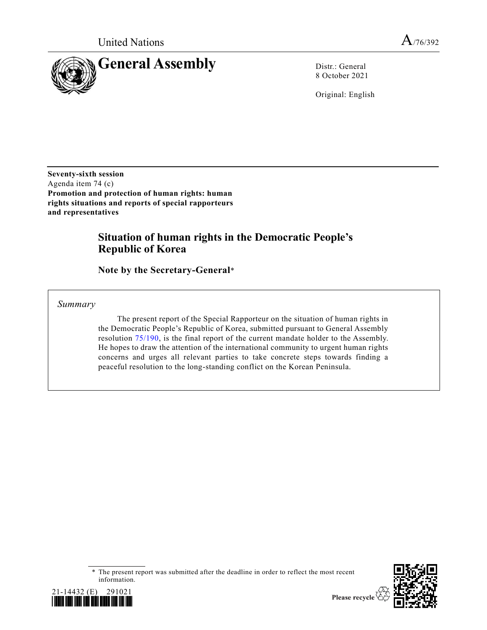

8 October 2021

Original: English

**Seventy-sixth session** Agenda item 74 (c) **Promotion and protection of human rights: human rights situations and reports of special rapporteurs and representatives**

# **Situation of human rights in the Democratic People's Republic of Korea**

**Note by the Secretary-General**\*

*Summary*

The present report of the Special Rapporteur on the situation of human rights in the Democratic People's Republic of Korea, submitted pursuant to General Assembly resolution [75/190,](https://undocs.org/en/A/RES/75/190) is the final report of the current mandate holder to the Assembly. He hopes to draw the attention of the international community to urgent human rights concerns and urges all relevant parties to take concrete steps towards finding a peaceful resolution to the long-standing conflict on the Korean Peninsula.

<sup>\*</sup> The present report was submitted after the deadline in order to reflect the most recent information.



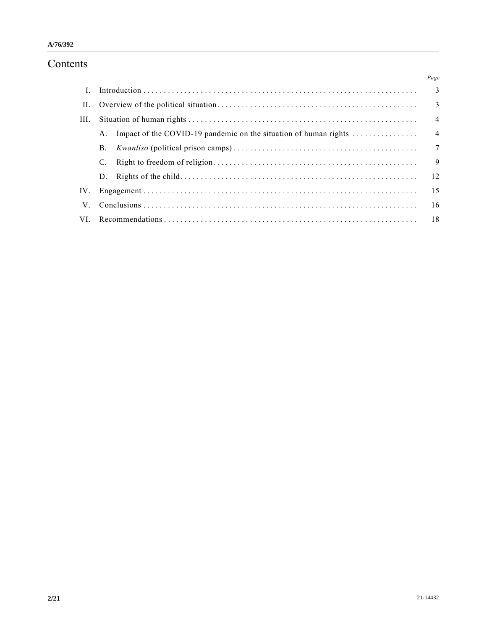# Contents

|             |                |                                                                  | Page                     |
|-------------|----------------|------------------------------------------------------------------|--------------------------|
|             |                |                                                                  |                          |
| П.          |                |                                                                  | $\overline{\phantom{a}}$ |
| III.        |                |                                                                  | $\overline{4}$           |
|             |                | Impact of the COVID-19 pandemic on the situation of human rights | $\overline{4}$           |
|             | В.             |                                                                  | $\overline{7}$           |
|             |                |                                                                  | 9                        |
|             | $D_{\rm{eff}}$ |                                                                  |                          |
| IV.         |                |                                                                  |                          |
| $V_{\cdot}$ |                |                                                                  | -16                      |
| VL.         |                |                                                                  |                          |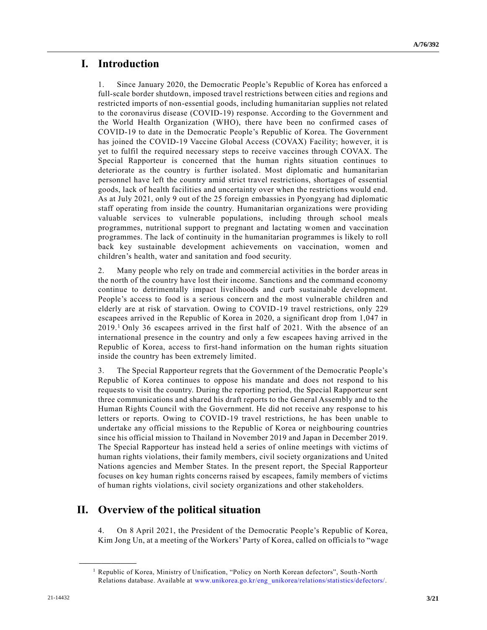# **I. Introduction**

1. Since January 2020, the Democratic People's Republic of Korea has enforced a full-scale border shutdown, imposed travel restrictions between cities and regions and restricted imports of non-essential goods, including humanitarian supplies not related to the coronavirus disease (COVID-19) response. According to the Government and the World Health Organization (WHO), there have been no confirmed cases of COVID-19 to date in the Democratic People's Republic of Korea. The Government has joined the COVID-19 Vaccine Global Access (COVAX) Facility; however, it is yet to fulfil the required necessary steps to receive vaccines through COVAX. The Special Rapporteur is concerned that the human rights situation continues to deteriorate as the country is further isolated. Most diplomatic and humanitarian personnel have left the country amid strict travel restrictions, shortages of essential goods, lack of health facilities and uncertainty over when the restrictions would end. As at July 2021, only 9 out of the 25 foreign embassies in Pyongyang had diplomatic staff operating from inside the country. Humanitarian organizations were providing valuable services to vulnerable populations, including through school meals programmes, nutritional support to pregnant and lactating women and vaccination programmes. The lack of continuity in the humanitarian programmes is likely to roll back key sustainable development achievements on vaccination, women and children's health, water and sanitation and food security.

2. Many people who rely on trade and commercial activities in the border areas in the north of the country have lost their income. Sanctions and the command economy continue to detrimentally impact livelihoods and curb sustainable development. People's access to food is a serious concern and the most vulnerable children and elderly are at risk of starvation. Owing to COVID-19 travel restrictions, only 229 escapees arrived in the Republic of Korea in 2020, a significant drop from 1,047 in 2019.<sup>1</sup> Only 36 escapees arrived in the first half of 2021. With the absence of an international presence in the country and only a few escapees having arrived in the Republic of Korea, access to first-hand information on the human rights situation inside the country has been extremely limited.

3. The Special Rapporteur regrets that the Government of the Democratic People's Republic of Korea continues to oppose his mandate and does not respond to his requests to visit the country. During the reporting period, the Special Rapporteur sent three communications and shared his draft reports to the General Assembly and to the Human Rights Council with the Government. He did not receive any response to his letters or reports. Owing to COVID-19 travel restrictions, he has been unable to undertake any official missions to the Republic of Korea or neighbouring countries since his official mission to Thailand in November 2019 and Japan in December 2019. The Special Rapporteur has instead held a series of online meetings with victims of human rights violations, their family members, civil society organizations and United Nations agencies and Member States. In the present report, the Special Rapporteur focuses on key human rights concerns raised by escapees, family members of victims of human rights violations, civil society organizations and other stakeholders.

# **II. Overview of the political situation**

4. On 8 April 2021, the President of the Democratic People's Republic of Korea, Kim Jong Un, at a meeting of the Workers' Party of Korea, called on officials to "wage

<sup>1</sup> Republic of Korea, Ministry of Unification, "Policy on North Korean defectors", South -North Relations database. Available at [www.unikorea.go.kr/eng\\_unikorea/relations/statistics/defectors/.](http://www.unikorea.go.kr/eng_unikorea/relations/statistics/defectors/)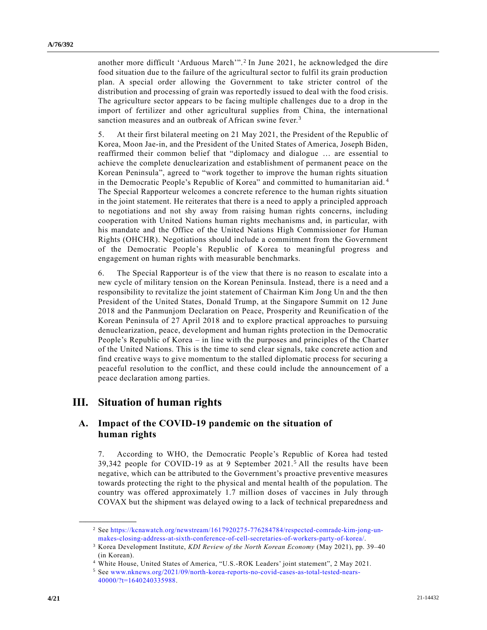another more difficult 'Arduous March'".<sup>2</sup> In June 2021, he acknowledged the dire food situation due to the failure of the agricultural sector to fulfil its grain production plan. A special order allowing the Government to take stricter control of the distribution and processing of grain was reportedly issued to deal with the food crisis. The agriculture sector appears to be facing multiple challenges due to a drop in the import of fertilizer and other agricultural supplies from China, the international sanction measures and an outbreak of African swine fever.<sup>3</sup>

5. At their first bilateral meeting on 21 May 2021, the President of the Republic of Korea, Moon Jae-in, and the President of the United States of America, Joseph Biden, reaffirmed their common belief that "diplomacy and dialogue … are essential to achieve the complete denuclearization and establishment of permanent peace on the Korean Peninsula", agreed to "work together to improve the human rights situation in the Democratic People's Republic of Korea" and committed to humanitarian aid. <sup>4</sup> The Special Rapporteur welcomes a concrete reference to the human rights situation in the joint statement. He reiterates that there is a need to apply a principled approach to negotiations and not shy away from raising human rights concerns, including cooperation with United Nations human rights mechanisms and, in particular, with his mandate and the Office of the United Nations High Commissioner for Human Rights (OHCHR). Negotiations should include a commitment from the Government of the Democratic People's Republic of Korea to meaningful progress and engagement on human rights with measurable benchmarks.

6. The Special Rapporteur is of the view that there is no reason to escalate into a new cycle of military tension on the Korean Peninsula. Instead, there is a need and a responsibility to revitalize the joint statement of Chairman Kim Jong Un and the then President of the United States, Donald Trump, at the Singapore Summit on 12 June 2018 and the Panmunjom Declaration on Peace, Prosperity and Reunificatio n of the Korean Peninsula of 27 April 2018 and to explore practical approaches to pursuing denuclearization, peace, development and human rights protection in the Democratic People's Republic of Korea – in line with the purposes and principles of the Charter of the United Nations. This is the time to send clear signals, take concrete action and find creative ways to give momentum to the stalled diplomatic process for securing a peaceful resolution to the conflict, and these could include the announcement of a peace declaration among parties.

## **III. Situation of human rights**

**\_\_\_\_\_\_\_\_\_\_\_\_\_\_\_\_\_\_**

## **A. Impact of the COVID-19 pandemic on the situation of human rights**

7. According to WHO, the Democratic People's Republic of Korea had tested 39,342 people for COVID-19 as at 9 September 2021.<sup>5</sup> All the results have been negative, which can be attributed to the Government's proactive preventive measures towards protecting the right to the physical and mental health of the population. The country was offered approximately 1.7 million doses of vaccines in July through COVAX but the shipment was delayed owing to a lack of technical preparedness and

<sup>2</sup> See [https://kcnawatch.org/newstream/1617920275-776284784/respected-comrade-kim-jong-un](https://kcnawatch.org/newstream/1617920275-776284784/respected-comrade-kim-jong-un-makes-closing-address-at-sixth-conference-of-cell-secretaries-of-workers-party-of-korea/)[makes-closing-address-at-sixth-conference-of-cell-secretaries-of-workers-party-of-korea/.](https://kcnawatch.org/newstream/1617920275-776284784/respected-comrade-kim-jong-un-makes-closing-address-at-sixth-conference-of-cell-secretaries-of-workers-party-of-korea/)

<sup>3</sup> Korea Development Institute, *KDI Review of the North Korean Economy* (May 2021), pp. 39–40 (in Korean).

<sup>4</sup> White House, United States of America, "U.S.-ROK Leaders' joint statement", 2 May 2021.

<sup>5</sup> See [www.nknews.org/2021/09/north-korea-reports-no-covid-cases-as-total-tested-nears-](http://www.nknews.org/2021/09/north-korea-reports-no-covid-cases-as-total-tested-nears-40000/?t=1640240335988)[40000/?t=1640240335988.](http://www.nknews.org/2021/09/north-korea-reports-no-covid-cases-as-total-tested-nears-40000/?t=1640240335988)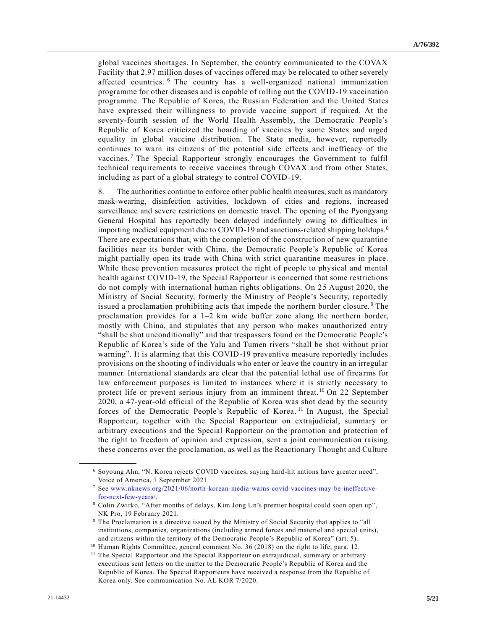global vaccines shortages. In September, the country communicated to the COVAX Facility that 2.97 million doses of vaccines offered may be relocated to other severely affected countries. <sup>6</sup> The country has a well-organized national immunization programme for other diseases and is capable of rolling out the COVID-19 vaccination programme. The Republic of Korea, the Russian Federation and the United States have expressed their willingness to provide vaccine support if required. At the seventy-fourth session of the World Health Assembly, the Democratic People's Republic of Korea criticized the hoarding of vaccines by some States and urged equality in global vaccine distribution. The State media, however, reportedly continues to warn its citizens of the potential side effects and inefficacy of the vaccines.<sup>7</sup> The Special Rapporteur strongly encourages the Government to fulfil technical requirements to receive vaccines through COVAX and from other States, including as part of a global strategy to control COVID-19.

8. The authorities continue to enforce other public health measures, such as mandatory mask-wearing, disinfection activities, lockdown of cities and regions, increased surveillance and severe restrictions on domestic travel. The opening of the Pyongyang General Hospital has reportedly been delayed indefinitely owing to difficulties in importing medical equipment due to COVID-19 and sanctions-related shipping holdups.<sup>8</sup> There are expectations that, with the completion of the construction of new quarantine facilities near its border with China, the Democratic People's Republic of Korea might partially open its trade with China with strict quarantine measures in place. While these prevention measures protect the right of people to physical and mental health against COVID-19, the Special Rapporteur is concerned that some restrictions do not comply with international human rights obligations. On 25 August 2020, the Ministry of Social Security, formerly the Ministry of People's Security, reportedly issued a proclamation prohibiting acts that impede the northern border closure. <sup>9</sup> The proclamation provides for a  $1-2$  km wide buffer zone along the northern border, mostly with China, and stipulates that any person who makes unauthorized entry "shall be shot unconditionally" and that trespassers found on the Democratic People's Republic of Korea's side of the Yalu and Tumen rivers "shall be shot without prior warning". It is alarming that this COVID-19 preventive measure reportedly includes provisions on the shooting of individuals who enter or leave the country in an irregular manner. International standards are clear that the potential lethal use of firearms for law enforcement purposes is limited to instances where it is strictly necessary to protect life or prevent serious injury from an imminent threat. <sup>10</sup> On 22 September 2020, a 47-year-old official of the Republic of Korea was shot dead by the security forces of the Democratic People's Republic of Korea.<sup>11</sup> In August, the Special Rapporteur, together with the Special Rapporteur on extrajudicial, summary or arbitrary executions and the Special Rapporteur on the promotion and protection of the right to freedom of opinion and expression, sent a joint communication raising these concerns over the proclamation, as well as the Reactionary Thought and Culture

<sup>6</sup> Soyoung Ahn, "N. Korea rejects COVID vaccines, saying hard-hit nations have greater need", Voice of America, 1 September 2021.

<sup>7</sup> See [www.nknews.org/2021/06/north-korean-media-warns-covid-vaccines-may-be-ineffective](http://www.nknews.org/2021/06/north-korean-media-warns-covid-vaccines-may-be-ineffective-for-next-few-years/)[for-next-few-years/.](http://www.nknews.org/2021/06/north-korean-media-warns-covid-vaccines-may-be-ineffective-for-next-few-years/)

<sup>8</sup> Colin Zwirko, "After months of delays, Kim Jong Un's premier hospital could soon open up" , NK Pro, 19 February 2021.

<sup>9</sup> The Proclamation is a directive issued by the Ministry of Social Security that applies to "all institutions, companies, organizations (including armed forces and materiel and special units), and citizens within the territory of the Democratic People's Republic of Korea" (art. 5).

<sup>10</sup> Human Rights Committee, general comment No. 36 (2018) on the right to life, para. 12.

<sup>&</sup>lt;sup>11</sup> The Special Rapporteur and the Special Rapporteur on extrajudicial, summary or arbitrary executions sent letters on the matter to the Democratic People's Republic of Korea and the Republic of Korea. The Special Rapporteurs have received a response from the Republic of Korea only. See communication No. AL KOR 7/2020.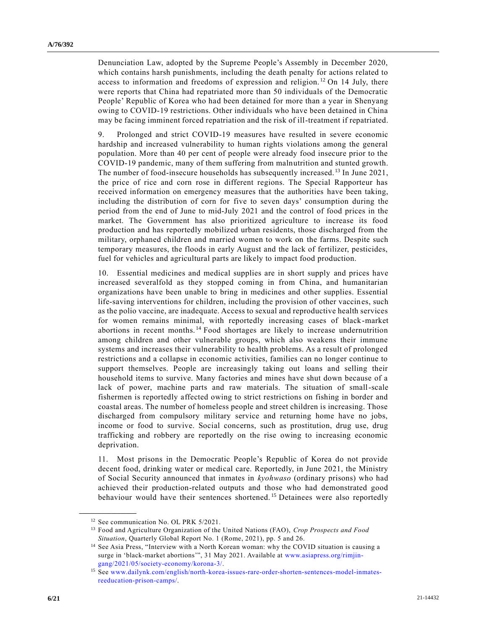Denunciation Law, adopted by the Supreme People's Assembly in December 2020, which contains harsh punishments, including the death penalty for actions related to access to information and freedoms of expression and religion.<sup>12</sup> On 14 July, there were reports that China had repatriated more than 50 individuals of the Democratic People' Republic of Korea who had been detained for more than a year in Shenyang owing to COVID-19 restrictions. Other individuals who have been detained in China may be facing imminent forced repatriation and the risk of ill-treatment if repatriated.

9. Prolonged and strict COVID-19 measures have resulted in severe economic hardship and increased vulnerability to human rights violations among the general population. More than 40 per cent of people were already food insecure prior to the COVID-19 pandemic, many of them suffering from malnutrition and stunted growth. The number of food-insecure households has subsequently increased. <sup>13</sup> In June 2021, the price of rice and corn rose in different regions. The Special Rapporteur has received information on emergency measures that the authorities have been taking, including the distribution of corn for five to seven days' consumption during the period from the end of June to mid-July 2021 and the control of food prices in the market. The Government has also prioritized agriculture to increase its food production and has reportedly mobilized urban residents, those discharged from the military, orphaned children and married women to work on the farms. Despite such temporary measures, the floods in early August and the lack of fertilizer, pesticides, fuel for vehicles and agricultural parts are likely to impact food production.

10. Essential medicines and medical supplies are in short supply and prices have increased severalfold as they stopped coming in from China, and humanitarian organizations have been unable to bring in medicines and other supplies. Essential life-saving interventions for children, including the provision of other vaccines, such as the polio vaccine, are inadequate. Access to sexual and reproductive health services for women remains minimal, with reportedly increasing cases of black -market abortions in recent months.<sup>14</sup> Food shortages are likely to increase undernutrition among children and other vulnerable groups, which also weakens their immune systems and increases their vulnerability to health problems. As a result of prolonged restrictions and a collapse in economic activities, families can no longer continue to support themselves. People are increasingly taking out loans and selling their household items to survive. Many factories and mines have shut down because of a lack of power, machine parts and raw materials. The situation of small-scale fishermen is reportedly affected owing to strict restrictions on fishing in border and coastal areas. The number of homeless people and street children is increasing. Those discharged from compulsory military service and returning home have no jobs, income or food to survive. Social concerns, such as prostitution, drug use, drug trafficking and robbery are reportedly on the rise owing to increasing economic deprivation.

11. Most prisons in the Democratic People's Republic of Korea do not provide decent food, drinking water or medical care. Reportedly, in June 2021, the Ministry of Social Security announced that inmates in *kyohwaso* (ordinary prisons) who had achieved their production-related outputs and those who had demonstrated good behaviour would have their sentences shortened.<sup>15</sup> Detainees were also reportedly

<sup>&</sup>lt;sup>12</sup> See communication No. OL PRK 5/2021.

<sup>13</sup> Food and Agriculture Organization of the United Nations (FAO), *Crop Prospects and Food Situation*, Quarterly Global Report No. 1 (Rome, 2021), pp. 5 and 26.

<sup>&</sup>lt;sup>14</sup> See Asia Press, "Interview with a North Korean woman: why the COVID situation is causing a surge in 'black-market abortions'", 31 May 2021. Available at [www.asiapress.org/rimjin](http://www.asiapress.org/rimjin-gang/2021/05/society-economy/korona-3/)[gang/2021/05/society-economy/korona-3/.](http://www.asiapress.org/rimjin-gang/2021/05/society-economy/korona-3/)

<sup>15</sup> See [www.dailynk.com/english/north-korea-issues-rare-order-shorten-sentences-model-inmates](http://www.dailynk.com/english/north-korea-issues-rare-order-shorten-sentences-model-inmates-reeducation-prison-camps/)[reeducation-prison-camps/.](http://www.dailynk.com/english/north-korea-issues-rare-order-shorten-sentences-model-inmates-reeducation-prison-camps/)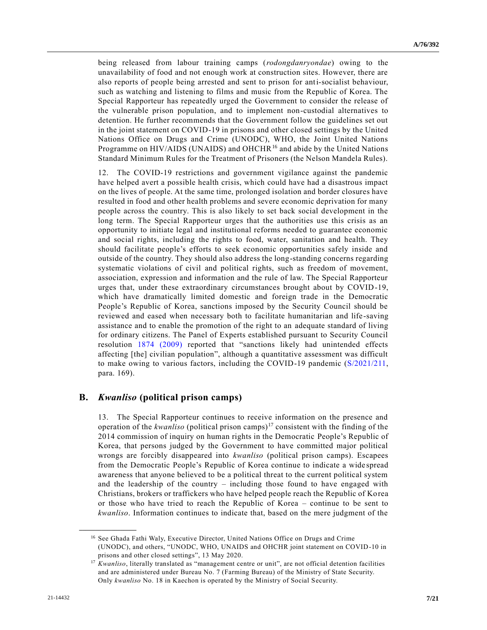being released from labour training camps (*rodongdanryondae*) owing to the unavailability of food and not enough work at construction sites. However, there are also reports of people being arrested and sent to prison for anti-socialist behaviour, such as watching and listening to films and music from the Republic of Korea. The Special Rapporteur has repeatedly urged the Government to consider the release of the vulnerable prison population, and to implement non-custodial alternatives to detention. He further recommends that the Government follow the guidelines set out in the joint statement on COVID-19 in prisons and other closed settings by the United Nations Office on Drugs and Crime (UNODC), WHO, the Joint United Nations Programme on HIV/AIDS (UNAIDS) and OHCHR<sup>16</sup> and abide by the United Nations Standard Minimum Rules for the Treatment of Prisoners (the Nelson Mandela Rules).

12. The COVID-19 restrictions and government vigilance against the pandemic have helped avert a possible health crisis, which could have had a disastrous impact on the lives of people. At the same time, prolonged isolation and border closures have resulted in food and other health problems and severe economic deprivation for many people across the country. This is also likely to set back social development in the long term. The Special Rapporteur urges that the authorities use this crisis as an opportunity to initiate legal and institutional reforms needed to guarantee economic and social rights, including the rights to food, water, sanitation and health. They should facilitate people's efforts to seek economic opportunities safely inside and outside of the country. They should also address the long-standing concerns regarding systematic violations of civil and political rights, such as freedom of movement, association, expression and information and the rule of law. The Special Rapporteur urges that, under these extraordinary circumstances brought about by COVID-19, which have dramatically limited domestic and foreign trade in the Democratic People's Republic of Korea, sanctions imposed by the Security Council should be reviewed and eased when necessary both to facilitate humanitarian and life -saving assistance and to enable the promotion of the right to an adequate standard of living for ordinary citizens. The Panel of Experts established pursuant to Security Council resolution [1874 \(2009\)](https://undocs.org/en/S/RES/1874(2009)) reported that "sanctions likely had unintended effects affecting [the] civilian population", although a quantitative assessment was difficult to make owing to various factors, including the COVID-19 pandemic [\(S/2021/211,](https://undocs.org/en/S/2021/211) para. 169).

### **B.** *Kwanliso* **(political prison camps)**

13. The Special Rapporteur continues to receive information on the presence and operation of the *kwanliso* (political prison camps)<sup>17</sup> consistent with the finding of the 2014 commission of inquiry on human rights in the Democratic People's Republic of Korea, that persons judged by the Government to have committed major political wrongs are forcibly disappeared into *kwanliso* (political prison camps). Escapees from the Democratic People's Republic of Korea continue to indicate a wide spread awareness that anyone believed to be a political threat to the current political system and the leadership of the country – including those found to have engaged with Christians, brokers or traffickers who have helped people reach the Republic of Korea or those who have tried to reach the Republic of Korea – continue to be sent to *kwanliso*. Information continues to indicate that, based on the mere judgment of the

<sup>&</sup>lt;sup>16</sup> See Ghada Fathi Waly, Executive Director, United Nations Office on Drugs and Crime (UNODC), and others, "UNODC, WHO, UNAIDS and OHCHR joint statement on COVID-10 in prisons and other closed settings", 13 May 2020.

<sup>&</sup>lt;sup>17</sup> *Kwanliso*, literally translated as "management centre or unit", are not official detention facilities and are administered under Bureau No. 7 (Farming Bureau) of the Ministry of State Security. Only *kwanliso* No. 18 in Kaechon is operated by the Ministry of Social Security.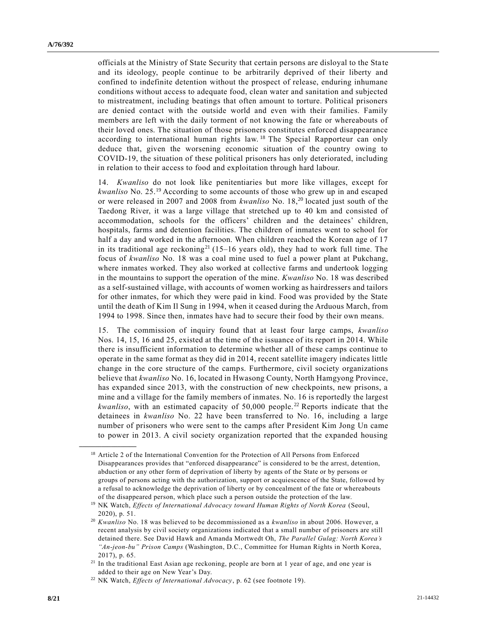officials at the Ministry of State Security that certain persons are disloyal to the Sta te and its ideology, people continue to be arbitrarily deprived of their liberty and confined to indefinite detention without the prospect of release, enduring inhumane conditions without access to adequate food, clean water and sanitation and subjected to mistreatment, including beatings that often amount to torture. Political prisoners are denied contact with the outside world and even with their families. Family members are left with the daily torment of not knowing the fate or whereabouts of their loved ones. The situation of those prisoners constitutes enforced disappearance according to international human rights law.<sup>18</sup> The Special Rapporteur can only deduce that, given the worsening economic situation of the country owing to COVID-19, the situation of these political prisoners has only deteriorated, including in relation to their access to food and exploitation through hard labour.

14. *Kwanliso* do not look like penitentiaries but more like villages, except for *kwanliso* No. 25.<sup>19</sup> According to some accounts of those who grew up in and escaped or were released in 2007 and 2008 from *kwanliso* No. 18,<sup>20</sup> located just south of the Taedong River, it was a large village that stretched up to 40 km and consisted of accommodation, schools for the officers' children and the detainees' children, hospitals, farms and detention facilities. The children of inmates went to school for half a day and worked in the afternoon. When children reached the Korean age of 17 in its traditional age reckoning<sup>21</sup> (15–16 years old), they had to work full time. The focus of *kwanliso* No. 18 was a coal mine used to fuel a power plant at Pukchang, where inmates worked. They also worked at collective farms and undertook logging in the mountains to support the operation of the mine. *Kwanliso* No. 18 was described as a self-sustained village, with accounts of women working as hairdressers and tailors for other inmates, for which they were paid in kind. Food was provided by the State until the death of Kim Il Sung in 1994, when it ceased during the Arduous March, from 1994 to 1998. Since then, inmates have had to secure their food by their own means.

15. The commission of inquiry found that at least four large camps, *kwanliso* Nos. 14, 15, 16 and 25, existed at the time of the issuance of its report in 2014. While there is insufficient information to determine whether all of these camps continue to operate in the same format as they did in 2014, recent satellite imagery indicates little change in the core structure of the camps. Furthermore, civil society organizations believe that *kwanliso* No. 16, located in Hwasong County, North Hamgyong Province, has expanded since 2013, with the construction of new checkpoints, new prisons, a mine and a village for the family members of inmates. No. 16 is reportedly the largest *kwanliso*, with an estimated capacity of 50,000 people. <sup>22</sup> Reports indicate that the detainees in *kwanliso* No. 22 have been transferred to No. 16, including a large number of prisoners who were sent to the camps after President Kim Jong Un came to power in 2013. A civil society organization reported that the expanded housing

<sup>&</sup>lt;sup>18</sup> Article 2 of the International Convention for the Protection of All Persons from Enforced Disappearances provides that "enforced disappearance" is considered to be the arrest, detention, abduction or any other form of deprivation of liberty by agents of the State or by persons or groups of persons acting with the authorization, support or acquiescence of the State, followed by a refusal to acknowledge the deprivation of liberty or by concealment of the fate or whereabouts of the disappeared person, which place such a person outside the protection of the law.

<sup>19</sup> NK Watch, *Effects of International Advocacy toward Human Rights of North Korea* (Seoul, 2020), p. 51.

<sup>20</sup> *Kwanliso* No. 18 was believed to be decommissioned as a *kwanliso* in about 2006. However, a recent analysis by civil society organizations indicated that a small number of prisoners are still detained there. See David Hawk and Amanda Mortwedt Oh, *The Parallel Gulag: North Korea's "An-jeon-bu" Prison Camps* (Washington, D.C., Committee for Human Rights in North Korea, 2017), p. 65.

<sup>21</sup> In the traditional East Asian age reckoning, people are born at 1 year of age, and one year is added to their age on New Year's Day.

<sup>22</sup> NK Watch, *Effects of International Advocacy*, p. 62 (see footnote 19).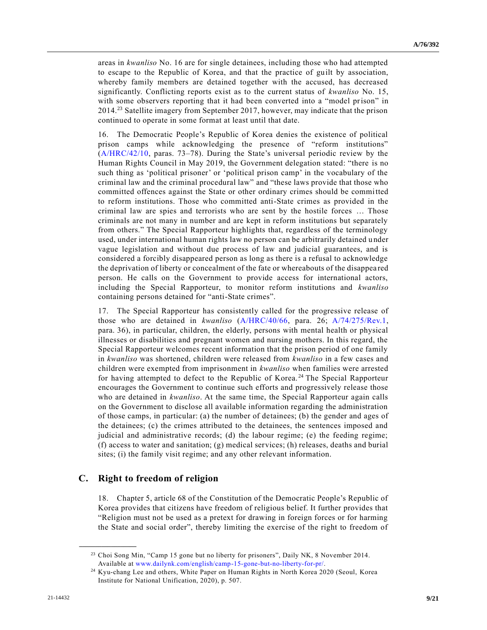areas in *kwanliso* No. 16 are for single detainees, including those who had attempted to escape to the Republic of Korea, and that the practice of guilt by association, whereby family members are detained together with the accused, has decreased significantly. Conflicting reports exist as to the current status of *kwanliso* No. 15, with some observers reporting that it had been converted into a "model prison" in 2014.<sup>23</sup> Satellite imagery from September 2017, however, may indicate that the prison continued to operate in some format at least until that date.

16. The Democratic People's Republic of Korea denies the existence of political prison camps while acknowledging the presence of "reform institutions" [\(A/HRC/42/10,](https://undocs.org/en/A/HRC/42/10) paras. 73–78). During the State's universal periodic review by the Human Rights Council in May 2019, the Government delegation stated: "there is no such thing as 'political prisoner' or 'political prison camp' in the vocabulary of the criminal law and the criminal procedural law" and "these laws provide that those who committed offences against the State or other ordinary crimes should be committed to reform institutions. Those who committed anti-State crimes as provided in the criminal law are spies and terrorists who are sent by the hostile forces … Those criminals are not many in number and are kept in reform institutions but separately from others." The Special Rapporteur highlights that, regardless of the terminology used, under international human rights law no person can be arbitrarily detained u nder vague legislation and without due process of law and judicial guarantees, and is considered a forcibly disappeared person as long as there is a refusal to acknowledge the deprivation of liberty or concealment of the fate or whereabouts of the disappea red person. He calls on the Government to provide access for international actors, including the Special Rapporteur, to monitor reform institutions and *kwanliso* containing persons detained for "anti-State crimes".

17. The Special Rapporteur has consistently called for the progressive release of those who are detained in *kwanliso* [\(A/HRC/40/66,](https://undocs.org/en/A/HRC/40/66) para. 26; [A/74/275/Rev.1,](https://undocs.org/en/A/74/275/Rev.1) para. 36), in particular, children, the elderly, persons with mental health or physical illnesses or disabilities and pregnant women and nursing mothers. In this regard, the Special Rapporteur welcomes recent information that the prison period of one family in *kwanliso* was shortened, children were released from *kwanliso* in a few cases and children were exempted from imprisonment in *kwanliso* when families were arrested for having attempted to defect to the Republic of Korea. <sup>24</sup> The Special Rapporteur encourages the Government to continue such efforts and progressively release those who are detained in *kwanliso*. At the same time, the Special Rapporteur again calls on the Government to disclose all available information regarding the administration of those camps, in particular: (a) the number of detainees; (b) the gender and ages of the detainees; (c) the crimes attributed to the detainees, the sentences imposed and judicial and administrative records; (d) the labour regime; (e) the feeding regime; (f) access to water and sanitation; (g) medical services; (h) releases, deaths and burial sites; (i) the family visit regime; and any other relevant information.

### **C. Right to freedom of religion**

**\_\_\_\_\_\_\_\_\_\_\_\_\_\_\_\_\_\_**

18. Chapter 5, article 68 of the Constitution of the Democratic People's Republic of Korea provides that citizens have freedom of religious belief. It further provides that "Religion must not be used as a pretext for drawing in foreign forces or for harming the State and social order", thereby limiting the exercise of the right to freedom of

<sup>&</sup>lt;sup>23</sup> Choi Song Min, "Camp 15 gone but no liberty for prisoners", Daily NK, 8 November 2014. Available at [www.dailynk.com/english/camp-15-gone-but-no-liberty-for-pr/.](http://www.dailynk.com/english/camp-15-gone-but-no-liberty-for-pr/)

<sup>24</sup> Kyu-chang Lee and others, White Paper on Human Rights in North Korea 2020 (Seoul, Korea Institute for National Unification, 2020), p. 507.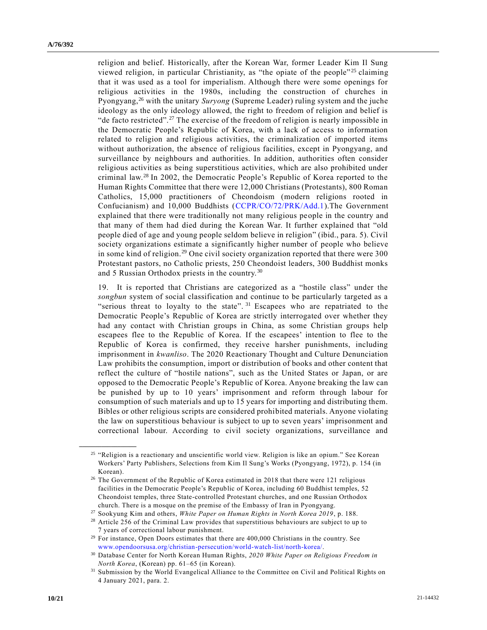religion and belief. Historically, after the Korean War, former Leader Kim Il Sung viewed religion, in particular Christianity, as "the opiate of the people"<sup>25</sup> claiming that it was used as a tool for imperialism. Although there were some openings for religious activities in the 1980s, including the construction of churches in Pyongyang,<sup>26</sup> with the unitary *Suryong* (Supreme Leader) ruling system and the juche ideology as the only ideology allowed, the right to freedom of religion and belief is "de facto restricted".<sup>27</sup> The exercise of the freedom of religion is nearly impossible in the Democratic People's Republic of Korea, with a lack of access to information related to religion and religious activities, the criminalization of imported items without authorization, the absence of religious facilities, except in Pyongyang, and surveillance by neighbours and authorities. In addition, authorities often consider religious activities as being superstitious activities, which are also prohibited under criminal law.<sup>28</sup> In 2002, the Democratic People's Republic of Korea reported to the Human Rights Committee that there were 12,000 Christians (Protestants), 800 Roman Catholics, 15,000 practitioners of Cheondoism (modern religions rooted in Confucianism) and 10,000 Buddhists [\(CCPR/CO/72/PRK/Add.1\)](https://undocs.org/en/CCPR/CO/72/PRK/Add.1).The Government explained that there were traditionally not many religious people in the country and that many of them had died during the Korean War. It further explained that "old people died of age and young people seldom believe in religion" (ibid., para. 5). Civil society organizations estimate a significantly higher number of people who believe in some kind of religion.<sup>29</sup> One civil society organization reported that there were 300 Protestant pastors, no Catholic priests, 250 Cheondoist leaders, 300 Buddhist monks and 5 Russian Orthodox priests in the country. <sup>30</sup>

19. It is reported that Christians are categorized as a "hostile class" under the *songbun* system of social classification and continue to be particularly targeted as a "serious threat to loyalty to the state".  $31$  Escapees who are repatriated to the Democratic People's Republic of Korea are strictly interrogated over whether they had any contact with Christian groups in China, as some Christian groups help escapees flee to the Republic of Korea. If the escapees' intention to flee to the Republic of Korea is confirmed, they receive harsher punishments, including imprisonment in *kwanliso*. The 2020 Reactionary Thought and Culture Denunciation Law prohibits the consumption, import or distribution of books and other content that reflect the culture of "hostile nations", such as the United States or Japan, or are opposed to the Democratic People's Republic of Korea. Anyone breaking the law can be punished by up to 10 years' imprisonment and reform through labour for consumption of such materials and up to 15 years for importing and distributing them. Bibles or other religious scripts are considered prohibited materials. Anyone violating the law on superstitious behaviour is subject to up to seven years' imprisonment and correctional labour. According to civil society organizations, surveillance and

<sup>&</sup>lt;sup>25</sup> "Religion is a reactionary and unscientific world view. Religion is like an opium." See Korean Workers' Party Publishers, Selections from Kim Il Sung's Works (Pyongyang, 1972), p. 154 (in Korean).

<sup>26</sup> The Government of the Republic of Korea estimated in 2018 that there were 121 religious facilities in the Democratic People's Republic of Korea, including 60 Buddhist temples, 52 Cheondoist temples, three State-controlled Protestant churches, and one Russian Orthodox church. There is a mosque on the premise of the Embassy of Iran in Pyongyang.

<sup>27</sup> Sookyung Kim and others, *White Paper on Human Rights in North Korea 2019*, p. 188.

<sup>&</sup>lt;sup>28</sup> Article 256 of the Criminal Law provides that superstitious behaviours are subject to up to 7 years of correctional labour punishment.

<sup>&</sup>lt;sup>29</sup> For instance, Open Doors estimates that there are 400,000 Christians in the country. See [www.opendoorsusa.org/christian-persecution/world-watch-list/north-korea/.](http://www.opendoorsusa.org/christian-persecution/world-watch-list/north-korea/)

<sup>30</sup> Database Center for North Korean Human Rights, *2020 White Paper on Religious Freedom in North Korea*, (Korean) pp. 61–65 (in Korean).

<sup>31</sup> Submission by the World Evangelical Alliance to the Committee on Civil and Political Rights on 4 January 2021, para. 2.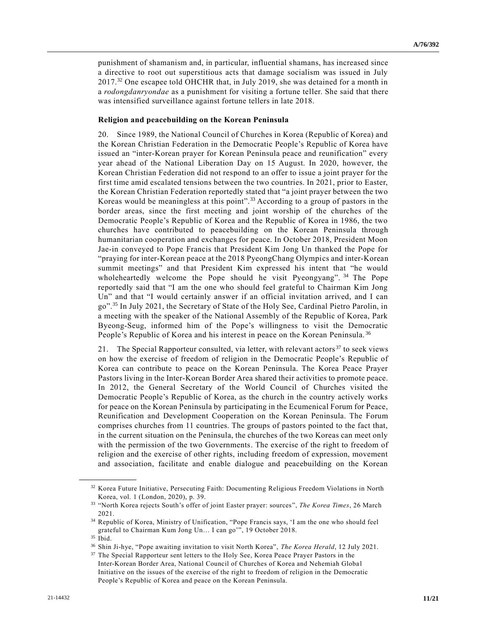punishment of shamanism and, in particular, influential shamans, has increased since a directive to root out superstitious acts that damage socialism was issued in July 2017.<sup>32</sup> One escapee told OHCHR that, in July 2019, she was detained for a month in a *rodongdanryondae* as a punishment for visiting a fortune teller. She said that there was intensified surveillance against fortune tellers in late 2018.

#### **Religion and peacebuilding on the Korean Peninsula**

20. Since 1989, the National Council of Churches in Korea (Republic of Korea) and the Korean Christian Federation in the Democratic People's Republic of Korea have issued an "inter-Korean prayer for Korean Peninsula peace and reunification" every year ahead of the National Liberation Day on 15 August. In 2020, however, the Korean Christian Federation did not respond to an offer to issue a joint prayer for the first time amid escalated tensions between the two countries. In 2021, prior to Easter, the Korean Christian Federation reportedly stated that "a joint prayer between the two Koreas would be meaningless at this point".<sup>33</sup> According to a group of pastors in the border areas, since the first meeting and joint worship of the churches of the Democratic People's Republic of Korea and the Republic of Korea in 1986, the two churches have contributed to peacebuilding on the Korean Peninsula through humanitarian cooperation and exchanges for peace. In October 2018, President Moon Jae-in conveyed to Pope Francis that President Kim Jong Un thanked the Pope for "praying for inter-Korean peace at the 2018 PyeongChang Olympics and inter-Korean summit meetings" and that President Kim expressed his intent that "he would wholeheartedly welcome the Pope should he visit Pyeongyang". <sup>34</sup> The Pope reportedly said that "I am the one who should feel grateful to Chairman Kim Jong Un" and that "I would certainly answer if an official invitation arrived, and I can go".<sup>35</sup> In July 2021, the Secretary of State of the Holy See, Cardinal Pietro Parolin, in a meeting with the speaker of the National Assembly of the Republic of Korea, Park Byeong-Seug, informed him of the Pope's willingness to visit the Democratic People's Republic of Korea and his interest in peace on the Korean Peninsula.<sup>36</sup>

21. The Special Rapporteur consulted, via letter, with relevant actors<sup>37</sup> to seek views on how the exercise of freedom of religion in the Democratic People's Republic of Korea can contribute to peace on the Korean Peninsula. The Korea Peace Prayer Pastors living in the Inter-Korean Border Area shared their activities to promote peace. In 2012, the General Secretary of the World Council of Churches visited the Democratic People's Republic of Korea, as the church in the country actively works for peace on the Korean Peninsula by participating in the Ecumenical Forum for Peace, Reunification and Development Cooperation on the Korean Peninsula. The Forum comprises churches from 11 countries. The groups of pastors pointed to the fact that, in the current situation on the Peninsula, the churches of the two Koreas can meet only with the permission of the two Governments. The exercise of the right to freedom of religion and the exercise of other rights, including freedom of expression, movement and association, facilitate and enable dialogue and peacebuilding on the Korean

<sup>32</sup> Korea Future Initiative, Persecuting Faith: Documenting Religious Freedom Violations in North Korea, vol. 1 (London, 2020), p. 39.

<sup>33</sup> "North Korea rejects South's offer of joint Easter prayer: sources", *The Korea Times*, 26 March 2021.

<sup>34</sup> Republic of Korea, Ministry of Unification, "Pope Francis says, 'I am the one who should feel grateful to Chairman Kum Jong Un… I can go'", 19 October 2018.

<sup>35</sup> Ibid.

<sup>36</sup> Shin Ji-hye, "Pope awaiting invitation to visit North Korea", *The Korea Herald*, 12 July 2021.

<sup>&</sup>lt;sup>37</sup> The Special Rapporteur sent letters to the Holy See, Korea Peace Prayer Pastors in the Inter-Korean Border Area, National Council of Churches of Korea and Nehemiah Globa l Initiative on the issues of the exercise of the right to freedom of religion in the Democratic People's Republic of Korea and peace on the Korean Peninsula.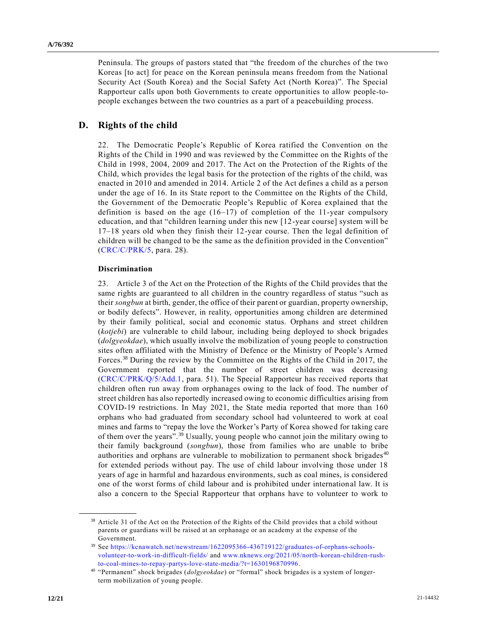Peninsula. The groups of pastors stated that "the freedom of the churches of the two Koreas [to act] for peace on the Korean peninsula means freedom from the National Security Act (South Korea) and the Social Safety Act (North Korea)". The Special Rapporteur calls upon both Governments to create opportunities to allow people-topeople exchanges between the two countries as a part of a peacebuilding process.

## **D. Rights of the child**

22. The Democratic People's Republic of Korea ratified the Convention on the Rights of the Child in 1990 and was reviewed by the Committee on the Rights of the Child in 1998, 2004, 2009 and 2017. The Act on the Protection of the Rights of the Child, which provides the legal basis for the protection of the rights of the child, was enacted in 2010 and amended in 2014. Article 2 of the Act defines a child as a person under the age of 16. In its State report to the Committee on the Rights of the Child, the Government of the Democratic People's Republic of Korea explained that the definition is based on the age  $(16-17)$  of completion of the 11-year compulsory education, and that "children learning under this new [12-year course] system will be 17–18 years old when they finish their 12-year course. Then the legal definition of children will be changed to be the same as the definition provided in the Convention" [\(CRC/C/PRK/5,](https://undocs.org/en/CRC/C/PRK/5) para. 28).

### **Discrimination**

**\_\_\_\_\_\_\_\_\_\_\_\_\_\_\_\_\_\_**

23. Article 3 of the Act on the Protection of the Rights of the Child provides that the same rights are guaranteed to all children in the country regardless of status "such as their *songbun* at birth, gender, the office of their parent or guardian, property ownership, or bodily defects". However, in reality, opportunities among children are determined by their family political, social and economic status. Orphans and street children (*kotjebi*) are vulnerable to child labour, including being deployed to shock brigades (*dolgyeokdae*), which usually involve the mobilization of young people to construction sites often affiliated with the Ministry of Defence or the Ministry of People's Armed Forces.<sup>38</sup> During the review by the Committee on the Rights of the Child in 2017, the Government reported that the number of street children was decreasing [\(CRC/C/PRK/Q/5/Add.1,](https://undocs.org/en/CRC/C/PRK/Q/5/Add.1) para. 51). The Special Rapporteur has received reports that children often run away from orphanages owing to the lack of food. The number of street children has also reportedly increased owing to economic difficulties arising from COVID-19 restrictions. In May 2021, the State media reported that more than 160 orphans who had graduated from secondary school had volunteered to work at coal mines and farms to "repay the love the Worker's Party of Korea showed for taking care of them over the years".<sup>39</sup> Usually, young people who cannot join the military owing to their family background (*songbun*), those from families who are unable to bribe authorities and orphans are vulnerable to mobilization to permanent shock brigades $40$ for extended periods without pay. The use of child labour involving those under 18 years of age in harmful and hazardous environments, such as coal mines, is considered one of the worst forms of child labour and is prohibited under international law. It is also a concern to the Special Rapporteur that orphans have to volunteer to work to

<sup>&</sup>lt;sup>38</sup> Article 31 of the Act on the Protection of the Rights of the Child provides that a child without parents or guardians will be raised at an orphanage or an academy at the expense of the Government.

<sup>39</sup> See [https://kcnawatch.net/newstream/1622095366-436719122/graduates-of-orphans-schools](https://kcnawatch.net/newstream/1622095366-436719122/graduates-of-orphans-schools-volunteer-to-work-in-difficult-fields/)[volunteer-to-work-in-difficult-fields/](https://kcnawatch.net/newstream/1622095366-436719122/graduates-of-orphans-schools-volunteer-to-work-in-difficult-fields/) and [www.nknews.org/2021/05/north-korean-children-rush](http://www.nknews.org/2021/05/north-korean-children-rush-to-coal-mines-to-repay-partys-love-state-media/?t=1630196870996)[to-coal-mines-to-repay-partys-love-state-media/?t=1630196870996.](http://www.nknews.org/2021/05/north-korean-children-rush-to-coal-mines-to-repay-partys-love-state-media/?t=1630196870996)

<sup>40</sup> "Permanent" shock brigades (*dolgyeokdae*) or "formal" shock brigades is a system of longerterm mobilization of young people.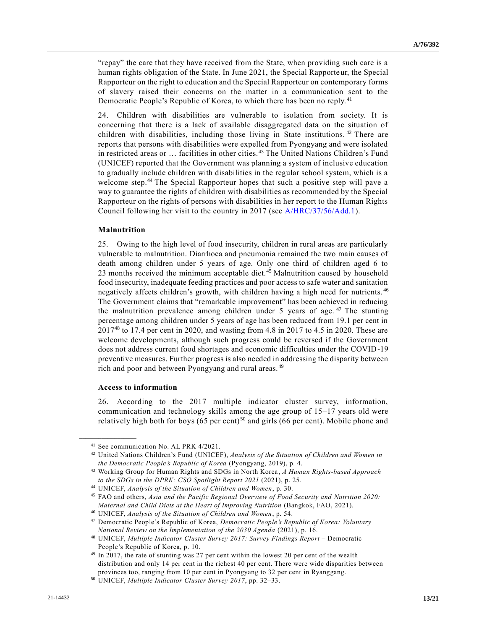"repay" the care that they have received from the State, when providing such care is a human rights obligation of the State. In June 2021, the Special Rapporteur, the Special Rapporteur on the right to education and the Special Rapporteur on contemporary forms of slavery raised their concerns on the matter in a communication sent to the Democratic People's Republic of Korea, to which there has been no reply.<sup>41</sup>

24. Children with disabilities are vulnerable to isolation from society. It is concerning that there is a lack of available disaggregated data on the situation of children with disabilities, including those living in State institutions.<sup>42</sup> There are reports that persons with disabilities were expelled from Pyongyang and were isolated in restricted areas or … facilities in other cities.<sup>43</sup> The United Nations Children's Fund (UNICEF) reported that the Government was planning a system of inclusive education to gradually include children with disabilities in the regular school system, which is a welcome step.<sup>44</sup> The Special Rapporteur hopes that such a positive step will pave a way to guarantee the rights of children with disabilities as recommended by the Special Rapporteur on the rights of persons with disabilities in her report to the Human Rights Council following her visit to the country in 2017 (see [A/HRC/37/56/Add.1\)](https://undocs.org/en/A/HRC/37/56/Add.1).

#### **Malnutrition**

25. Owing to the high level of food insecurity, children in rural areas are particularly vulnerable to malnutrition. Diarrhoea and pneumonia remained the two main causes of death among children under 5 years of age. Only one third of children aged 6 to 23 months received the minimum acceptable diet.<sup>45</sup> Malnutrition caused by household food insecurity, inadequate feeding practices and poor access to safe water and sanitation negatively affects children's growth, with children having a high need for nutrients. <sup>46</sup> The Government claims that "remarkable improvement" has been achieved in reducing the malnutrition prevalence among children under 5 years of age.  $47$  The stunting percentage among children under 5 years of age has been reduced from 19.1 per cent in 2017<sup>48</sup> to 17.4 per cent in 2020, and wasting from 4.8 in 2017 to 4.5 in 2020. These are welcome developments, although such progress could be reversed if the Government does not address current food shortages and economic difficulties under the COVID-19 preventive measures. Further progress is also needed in addressing the disparity between rich and poor and between Pyongyang and rural areas. <sup>49</sup>

#### **Access to information**

**\_\_\_\_\_\_\_\_\_\_\_\_\_\_\_\_\_\_**

26. According to the 2017 multiple indicator cluster survey, information, communication and technology skills among the age group of 15–17 years old were relatively high both for boys  $(65 \text{ per cent})^{50}$  and girls  $(66 \text{ per cent})$ . Mobile phone and

<sup>41</sup> See communication No. AL PRK 4/2021.

<sup>42</sup> United Nations Children's Fund (UNICEF), *Analysis of the Situation of Children and Women in the Democratic People's Republic of Korea* (Pyongyang, 2019), p. 4.

<sup>43</sup> Working Group for Human Rights and SDGs in North Korea, *A Human Rights-based Approach to the SDGs in the DPRK: CSO Spotlight Report 2021* (2021), p. 25.

<sup>44</sup> UNICEF, *Analysis of the Situation of Children and Women*, p. 30.

<sup>45</sup> FAO and others, *Asia and the Pacific Regional Overview of Food Security and Nutrition 2020: Maternal and Child Diets at the Heart of Improving Nutrition* (Bangkok, FAO, 2021).

<sup>46</sup> UNICEF, *Analysis of the Situation of Children and Women*, p. 54.

<sup>47</sup> Democratic People's Republic of Korea, *Democratic People's Republic of Korea: Voluntary National Review on the Implementation of the 2030 Agenda* (2021), p. 16.

<sup>48</sup> UNICEF, *Multiple Indicator Cluster Survey 2017: Survey Findings Report –* Democratic People's Republic of Korea, p. 10.

<sup>&</sup>lt;sup>49</sup> In 2017, the rate of stunting was 27 per cent within the lowest 20 per cent of the wealth distribution and only 14 per cent in the richest 40 per cent. There were wide disparities between provinces too, ranging from 10 per cent in Pyongyang to 32 per cent in Ryanggang.

<sup>50</sup> UNICEF, *Multiple Indicator Cluster Survey 2017*, pp. 32–33.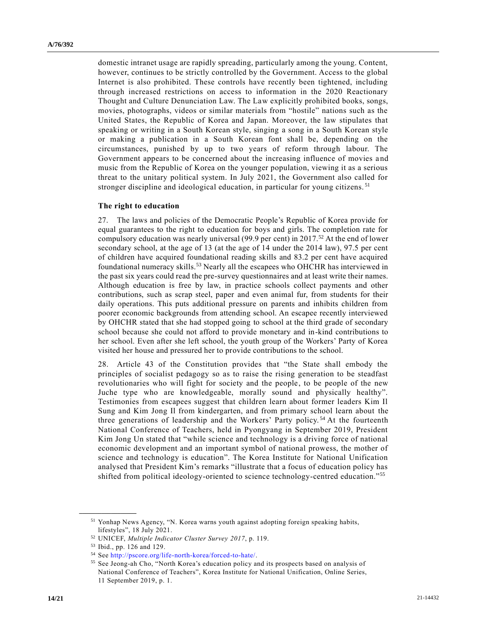domestic intranet usage are rapidly spreading, particularly among the young. Content, however, continues to be strictly controlled by the Government. Access to the global Internet is also prohibited. These controls have recently been tightened, including through increased restrictions on access to information in the 2020 Reactionary Thought and Culture Denunciation Law. The Law explicitly prohibited books, songs, movies, photographs, videos or similar materials from "hostile" nations such as the United States, the Republic of Korea and Japan. Moreover, the law stipulates that speaking or writing in a South Korean style, singing a song in a South Korean style or making a publication in a South Korean font shall be, depending on the circumstances, punished by up to two years of reform through labour. The Government appears to be concerned about the increasing influence of movies a nd music from the Republic of Korea on the younger population, viewing it as a serious threat to the unitary political system. In July 2021, the Government also called for stronger discipline and ideological education, in particular for young citizens.<sup>51</sup>

#### **The right to education**

27. The laws and policies of the Democratic People's Republic of Korea provide for equal guarantees to the right to education for boys and girls. The completion rate for compulsory education was nearly universal (99.9 per cent) in 2017.<sup>52</sup> At the end of lower secondary school, at the age of 13 (at the age of 14 under the 2014 law), 97.5 per cent of children have acquired foundational reading skills and 83.2 per cent have acquired foundational numeracy skills.<sup>53</sup> Nearly all the escapees who OHCHR has interviewed in the past six years could read the pre-survey questionnaires and at least write their names. Although education is free by law, in practice schools collect payments and other contributions, such as scrap steel, paper and even animal fur, from students for their daily operations. This puts additional pressure on parents and inhibits children from poorer economic backgrounds from attending school. An escapee recently interviewed by OHCHR stated that she had stopped going to school at the third grade of secondary school because she could not afford to provide monetary and in-kind contributions to her school. Even after she left school, the youth group of the Workers' Party of Korea visited her house and pressured her to provide contributions to the school.

28. Article 43 of the Constitution provides that "the State shall embody the principles of socialist pedagogy so as to raise the rising generation to be steadfast revolutionaries who will fight for society and the people, to be people of the new Juche type who are knowledgeable, morally sound and physically healthy". Testimonies from escapees suggest that children learn about former leaders Kim Il Sung and Kim Jong Il from kindergarten, and from primary school learn about the three generations of leadership and the Workers' Party policy. <sup>54</sup> At the fourteenth National Conference of Teachers, held in Pyongyang in September 2019, President Kim Jong Un stated that "while science and technology is a driving force of national economic development and an important symbol of national prowess, the mother of science and technology is education". The Korea Institute for National Unification analysed that President Kim's remarks "illustrate that a focus of education policy has shifted from political ideology-oriented to science technology-centred education."<sup>55</sup>

<sup>51</sup> Yonhap News Agency, "N. Korea warns youth against adopting foreign speaking habits, lifestyles", 18 July 2021.

<sup>52</sup> UNICEF, *Multiple Indicator Cluster Survey 2017*, p. 119.

<sup>53</sup> Ibid., pp. 126 and 129.

<sup>54</sup> See [http://pscore.org/life-north-korea/forced-to-hate/.](http://pscore.org/life-north-korea/forced-to-hate/)

<sup>55</sup> See Jeong-ah Cho, "North Korea's education policy and its prospects based on analysis of National Conference of Teachers", Korea Institute for National Unification, Online Series, 11 September 2019, p. 1.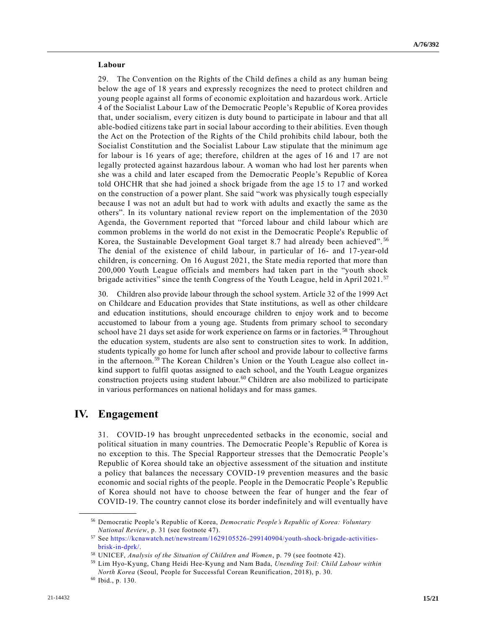#### **Labour**

29. The Convention on the Rights of the Child defines a child as any human being below the age of 18 years and expressly recognizes the need to protect children and young people against all forms of economic exploitation and hazardous work. Article 4 of the Socialist Labour Law of the Democratic People's Republic of Korea provides that, under socialism, every citizen is duty bound to participate in labour and that all able-bodied citizens take part in social labour according to their abilities. Even though the Act on the Protection of the Rights of the Child prohibits child labour, both the Socialist Constitution and the Socialist Labour Law stipulate that the minimum age for labour is 16 years of age; therefore, children at the ages of 16 and 17 are not legally protected against hazardous labour. A woman who had lost her parents when she was a child and later escaped from the Democratic People's Republic of Korea told OHCHR that she had joined a shock brigade from the age 15 to 17 and worked on the construction of a power plant. She said "work was physically tough especially because I was not an adult but had to work with adults and exactly the same as the others". In its voluntary national review report on the implementation of the 2030 Agenda, the Government reported that "forced labour and child labour which are common problems in the world do not exist in the Democratic People's Republic of Korea, the Sustainable Development Goal target 8.7 had already been achieved". <sup>56</sup> The denial of the existence of child labour, in particular of 16- and 17-year-old children, is concerning. On 16 August 2021, the State media reported that more than 200,000 Youth League officials and members had taken part in the "youth shock brigade activities" since the tenth Congress of the Youth League, held in April 2021.<sup>57</sup>

30. Children also provide labour through the school system. Article 32 of the 1999 Act on Childcare and Education provides that State institutions, as well as other childcare and education institutions, should encourage children to enjoy work and to become accustomed to labour from a young age. Students from primary school to secondary school have 21 days set aside for work experience on farms or in factories. <sup>58</sup> Throughout the education system, students are also sent to construction sites to work. In addition, students typically go home for lunch after school and provide labour to collective farms in the afternoon.<sup>59</sup> The Korean Children's Union or the Youth League also collect inkind support to fulfil quotas assigned to each school, and the Youth League organizes construction projects using student labour.<sup>60</sup> Children are also mobilized to participate in various performances on national holidays and for mass games.

## **IV. Engagement**

31. COVID-19 has brought unprecedented setbacks in the economic, social and political situation in many countries. The Democratic People's Republic of Korea is no exception to this. The Special Rapporteur stresses that the Democratic People's Republic of Korea should take an objective assessment of the situation and institute a policy that balances the necessary COVID-19 prevention measures and the basic economic and social rights of the people. People in the Democratic People's Republic of Korea should not have to choose between the fear of hunger and the fear of COVID-19. The country cannot close its border indefinitely and will eventually have

<sup>56</sup> Democratic People's Republic of Korea, *Democratic People's Republic of Korea: Voluntary National Review*, p. 31 (see footnote 47).

<sup>57</sup> See [https://kcnawatch.net/newstream/1629105526-299140904/youth-shock-brigade-activities](https://kcnawatch.net/newstream/1629105526-299140904/youth-shock-brigade-activities-brisk-in-dprk/)[brisk-in-dprk/.](https://kcnawatch.net/newstream/1629105526-299140904/youth-shock-brigade-activities-brisk-in-dprk/)

<sup>58</sup> UNICEF, *Analysis of the Situation of Children and Women*, p. 79 (see footnote 42).

<sup>59</sup> Lim Hyo-Kyung, Chang Heidi Hee-Kyung and Nam Bada, *Unending Toil: Child Labour within North Korea* (Seoul, People for Successful Corean Reunification, 2018), p. 30.

<sup>60</sup> Ibid., p. 130.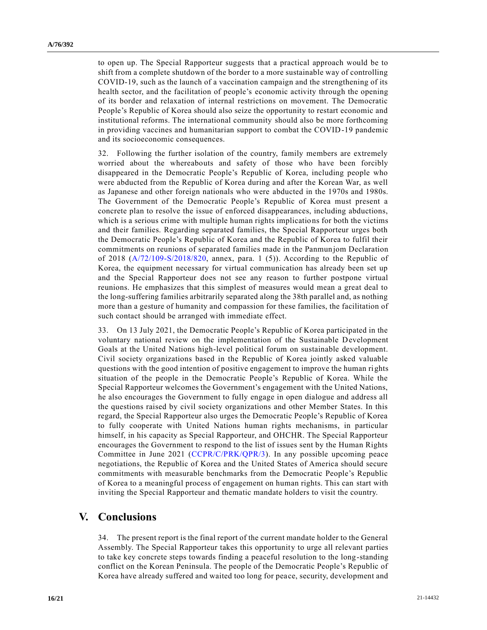to open up. The Special Rapporteur suggests that a practical approach would be to shift from a complete shutdown of the border to a more sustainable way of controlling COVID-19, such as the launch of a vaccination campaign and the strengthening of its health sector, and the facilitation of people's economic activity through the opening of its border and relaxation of internal restrictions on movement. The Democratic People's Republic of Korea should also seize the opportunity to restart economic and institutional reforms. The international community should also be more forthcoming in providing vaccines and humanitarian support to combat the COVID-19 pandemic and its socioeconomic consequences.

32. Following the further isolation of the country, family members are extremely worried about the whereabouts and safety of those who have been forcibly disappeared in the Democratic People's Republic of Korea, including people who were abducted from the Republic of Korea during and after the Korean War, as well as Japanese and other foreign nationals who were abducted in the 1970s and 1980s. The Government of the Democratic People's Republic of Korea must present a concrete plan to resolve the issue of enforced disappearances, including abductions, which is a serious crime with multiple human rights implications for both the victims and their families. Regarding separated families, the Special Rapporteur urges both the Democratic People's Republic of Korea and the Republic of Korea to fulfil their commitments on reunions of separated families made in the Panmunjom Declaration of 2018 [\(A/72/109-S/2018/820,](https://undocs.org/en/A/72/109) annex, para. 1 (5)). According to the Republic of Korea, the equipment necessary for virtual communication has already been set up and the Special Rapporteur does not see any reason to further postpone virtual reunions. He emphasizes that this simplest of measures would mean a great deal to the long-suffering families arbitrarily separated along the 38th parallel and, as nothing more than a gesture of humanity and compassion for these families, the facilitation of such contact should be arranged with immediate effect.

33. On 13 July 2021, the Democratic People's Republic of Korea participated in the voluntary national review on the implementation of the Sustainable Development Goals at the United Nations high-level political forum on sustainable development. Civil society organizations based in the Republic of Korea jointly asked valuable questions with the good intention of positive engagement to improve the human rights situation of the people in the Democratic People's Republic of Korea. While the Special Rapporteur welcomes the Government's engagement with the United Nations, he also encourages the Government to fully engage in open dialogue and address all the questions raised by civil society organizations and other Member States. In this regard, the Special Rapporteur also urges the Democratic People's Republic of Korea to fully cooperate with United Nations human rights mechanisms, in particular himself, in his capacity as Special Rapporteur, and OHCHR. The Special Rapporteur encourages the Government to respond to the list of issues sent by the Human Rights Committee in June 2021 [\(CCPR/C/PRK/QPR/3\)](https://undocs.org/en/CCPR/C/PRK/QPR/3). In any possible upcoming peace negotiations, the Republic of Korea and the United States of America should secure commitments with measurable benchmarks from the Democratic People's Republic of Korea to a meaningful process of engagement on human rights. This can start with inviting the Special Rapporteur and thematic mandate holders to visit the country.

## **V. Conclusions**

34. The present report is the final report of the current mandate holder to the General Assembly. The Special Rapporteur takes this opportunity to urge all relevant parties to take key concrete steps towards finding a peaceful resolution to the long-standing conflict on the Korean Peninsula. The people of the Democratic People's Republic of Korea have already suffered and waited too long for peace, security, development and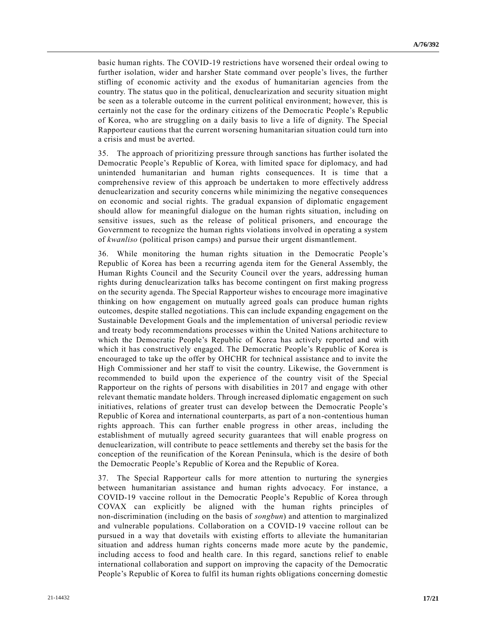basic human rights. The COVID-19 restrictions have worsened their ordeal owing to further isolation, wider and harsher State command over people's lives, the further stifling of economic activity and the exodus of humanitarian agencies from the country. The status quo in the political, denuclearization and security situation might be seen as a tolerable outcome in the current political environment; however, this is certainly not the case for the ordinary citizens of the Democra tic People's Republic of Korea, who are struggling on a daily basis to live a life of dignity. The Special Rapporteur cautions that the current worsening humanitarian situation could turn into a crisis and must be averted.

35. The approach of prioritizing pressure through sanctions has further isolated the Democratic People's Republic of Korea, with limited space for diplomacy, and had unintended humanitarian and human rights consequences. It is time that a comprehensive review of this approach be undertaken to more effectively address denuclearization and security concerns while minimizing the negative consequences on economic and social rights. The gradual expansion of diplomatic engagement should allow for meaningful dialogue on the human rights situation, including on sensitive issues, such as the release of political prisoners, and encourage the Government to recognize the human rights violations involved in operating a system of *kwanliso* (political prison camps) and pursue their urgent dismantlement.

36. While monitoring the human rights situation in the Democratic People's Republic of Korea has been a recurring agenda item for the General Assembly, the Human Rights Council and the Security Council over the years, addressing human rights during denuclearization talks has become contingent on first making progress on the security agenda. The Special Rapporteur wishes to encourage more imaginative thinking on how engagement on mutually agreed goals can produce human rights outcomes, despite stalled negotiations. This can include expanding engagement on the Sustainable Development Goals and the implementation of universal periodic review and treaty body recommendations processes within the United Nations architecture to which the Democratic People's Republic of Korea has actively reported and with which it has constructively engaged. The Democratic People's Republic of Korea is encouraged to take up the offer by OHCHR for technical assistance and to invite the High Commissioner and her staff to visit the country. Likewise, the Government is recommended to build upon the experience of the country visit of the Special Rapporteur on the rights of persons with disabilities in 2017 and engage with other relevant thematic mandate holders. Through increased diplomatic engagement on such initiatives, relations of greater trust can develop between the Democratic People's Republic of Korea and international counterparts, as part of a non-contentious human rights approach. This can further enable progress in other areas, including the establishment of mutually agreed security guarantees that will enable progress on denuclearization, will contribute to peace settlements and thereby set the basis for the conception of the reunification of the Korean Peninsula, which is the desire of both the Democratic People's Republic of Korea and the Republic of Korea.

37. The Special Rapporteur calls for more attention to nurturing the synergies between humanitarian assistance and human rights advocacy. For instance, a COVID-19 vaccine rollout in the Democratic People's Republic of Korea through COVAX can explicitly be aligned with the human rights principles of non-discrimination (including on the basis of *songbun*) and attention to marginalized and vulnerable populations. Collaboration on a COVID-19 vaccine rollout can be pursued in a way that dovetails with existing efforts to alleviate the humanitarian situation and address human rights concerns made more acute by the pandemic, including access to food and health care. In this regard, sanctions relief to enable international collaboration and support on improving the capacity of the Democratic People's Republic of Korea to fulfil its human rights obligations concerning domestic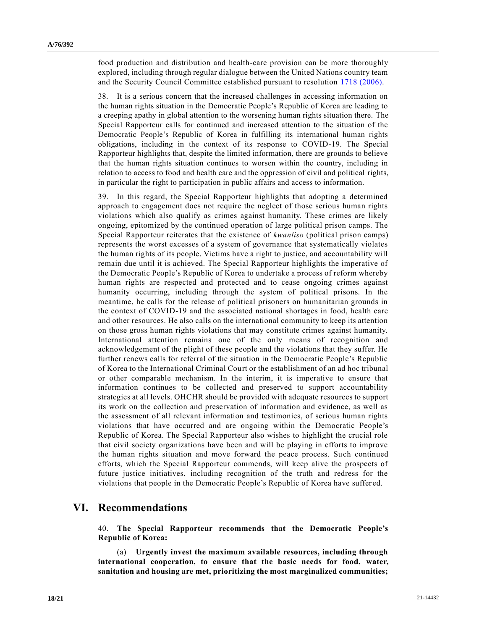food production and distribution and health-care provision can be more thoroughly explored, including through regular dialogue between the United Nations country team and the Security Council Committee established pursuant to resolution [1718 \(2006\).](https://undocs.org/en/S/RES/1718(2006))

38. It is a serious concern that the increased challenges in accessing information on the human rights situation in the Democratic People's Republic of Korea are leading to a creeping apathy in global attention to the worsening human rights situation there. The Special Rapporteur calls for continued and increased attention to the situation of the Democratic People's Republic of Korea in fulfilling its international human rights obligations, including in the context of its response to COVID-19. The Special Rapporteur highlights that, despite the limited information, there are grounds to believe that the human rights situation continues to worsen within the country, including in relation to access to food and health care and the oppression of civil and political rights, in particular the right to participation in public affairs and access to information.

39. In this regard, the Special Rapporteur highlights that adopting a determined approach to engagement does not require the neglect of those serious human rights violations which also qualify as crimes against humanity. These crimes are likely ongoing, epitomized by the continued operation of large political prison camps. The Special Rapporteur reiterates that the existence of *kwanliso* (political prison camps) represents the worst excesses of a system of governance that systematically violates the human rights of its people. Victims have a right to justice, and accountability will remain due until it is achieved. The Special Rapporteur highlights the imperative of the Democratic People's Republic of Korea to undertake a process of reform whereby human rights are respected and protected and to cease ongoing crimes against humanity occurring, including through the system of political prisons. In the meantime, he calls for the release of political prisoners on humanitarian grounds in the context of COVID-19 and the associated national shortages in food, health care and other resources. He also calls on the international community to keep its attention on those gross human rights violations that may constitute crimes against humanity. International attention remains one of the only means of recognition and acknowledgement of the plight of these people and the violations that they suffer. He further renews calls for referral of the situation in the Democratic People's Republic of Korea to the International Criminal Court or the establishment of an ad hoc tribunal or other comparable mechanism. In the interim, it is imperative to ensure that information continues to be collected and preserved to support accountability strategies at all levels. OHCHR should be provided with adequate resources to support its work on the collection and preservation of information and evidence, as well as the assessment of all relevant information and testimonies, of serious human rights violations that have occurred and are ongoing within the Democratic People's Republic of Korea. The Special Rapporteur also wishes to highlight the crucial role that civil society organizations have been and will be playing in efforts to improve the human rights situation and move forward the peace process. Such continued efforts, which the Special Rapporteur commends, will keep alive the prospects of future justice initiatives, including recognition of the truth and redress for the violations that people in the Democratic People's Republic of Korea have suffer ed.

## **VI. Recommendations**

40. **The Special Rapporteur recommends that the Democratic People's Republic of Korea:**

(a) **Urgently invest the maximum available resources, including through international cooperation, to ensure that the basic needs for food, water, sanitation and housing are met, prioritizing the most marginalized communities;**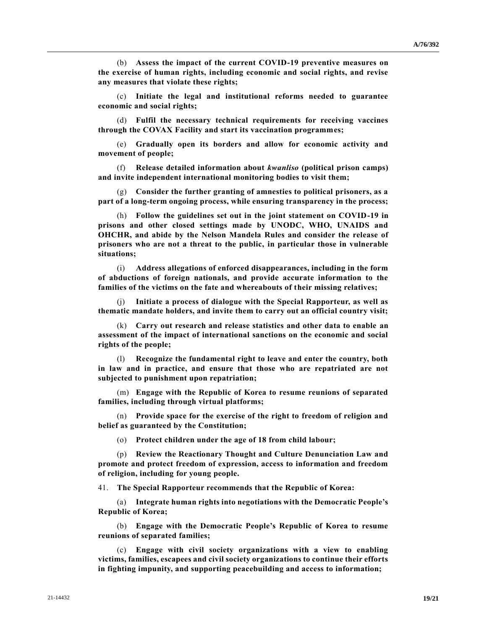(b) **Assess the impact of the current COVID-19 preventive measures on the exercise of human rights, including economic and social rights, and revise any measures that violate these rights;**

(c) **Initiate the legal and institutional reforms needed to guarantee economic and social rights;**

(d) **Fulfil the necessary technical requirements for receiving vaccines through the COVAX Facility and start its vaccination programmes;**

(e) **Gradually open its borders and allow for economic activity and movement of people;**

(f) **Release detailed information about** *kwanliso* **(political prison camps) and invite independent international monitoring bodies to visit them;** 

(g) **Consider the further granting of amnesties to political prisoners, as a part of a long-term ongoing process, while ensuring transparency in the process;**

(h) **Follow the guidelines set out in the joint statement on COVID-19 in prisons and other closed settings made by UNODC, WHO, UNAIDS and OHCHR, and abide by the Nelson Mandela Rules and consider the release of prisoners who are not a threat to the public, in particular those in vulnerable situations;** 

(i) **Address allegations of enforced disappearances, including in the form of abductions of foreign nationals, and provide accurate information to the families of the victims on the fate and whereabouts of their missing relatives;** 

Initiate a process of dialogue with the Special Rapporteur, as well as **thematic mandate holders, and invite them to carry out an official country visit;**

(k) **Carry out research and release statistics and other data to enable an assessment of the impact of international sanctions on the economic and social rights of the people;** 

(l) **Recognize the fundamental right to leave and enter the country, both in law and in practice, and ensure that those who are repatriated are not subjected to punishment upon repatriation;**

(m) **Engage with the Republic of Korea to resume reunions of separated families, including through virtual platforms;** 

(n) **Provide space for the exercise of the right to freedom of religion and belief as guaranteed by the Constitution;** 

(o) **Protect children under the age of 18 from child labour;** 

(p) **Review the Reactionary Thought and Culture Denunciation Law and promote and protect freedom of expression, access to information and freedom of religion, including for young people.**

41. **The Special Rapporteur recommends that the Republic of Korea:** 

(a) **Integrate human rights into negotiations with the Democratic People's Republic of Korea;**

(b) **Engage with the Democratic People's Republic of Korea to resume reunions of separated families;**

(c) **Engage with civil society organizations with a view to enabling victims, families, escapees and civil society organizations to continue their efforts in fighting impunity, and supporting peacebuilding and access to information;**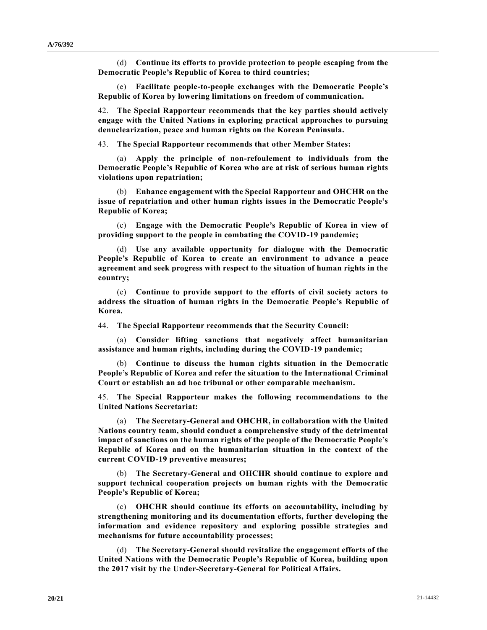(d) **Continue its efforts to provide protection to people escaping from the Democratic People's Republic of Korea to third countries;**

(e) **Facilitate people-to-people exchanges with the Democratic People's Republic of Korea by lowering limitations on freedom of communication.**

42. **The Special Rapporteur recommends that the key parties should actively engage with the United Nations in exploring practical approaches to pursuing denuclearization, peace and human rights on the Korean Peninsula.**

43. **The Special Rapporteur recommends that other Member States:** 

(a) **Apply the principle of non-refoulement to individuals from the Democratic People's Republic of Korea who are at risk of serious human rights violations upon repatriation;**

(b) **Enhance engagement with the Special Rapporteur and OHCHR on the issue of repatriation and other human rights issues in the Democratic People's Republic of Korea;**

(c) **Engage with the Democratic People's Republic of Korea in view of providing support to the people in combating the COVID-19 pandemic;** 

(d) **Use any available opportunity for dialogue with the Democratic People's Republic of Korea to create an environment to advance a peace agreement and seek progress with respect to the situation of human rights in the country;** 

(e) **Continue to provide support to the efforts of civil society actors to address the situation of human rights in the Democratic People's Republic of Korea.**

44. **The Special Rapporteur recommends that the Security Council:** 

(a) **Consider lifting sanctions that negatively affect humanitarian assistance and human rights, including during the COVID-19 pandemic;**

(b) **Continue to discuss the human rights situation in the Democratic People's Republic of Korea and refer the situation to the International Criminal Court or establish an ad hoc tribunal or other comparable mechanism.**

45. **The Special Rapporteur makes the following recommendations to the United Nations Secretariat:**

(a) **The Secretary-General and OHCHR, in collaboration with the United Nations country team, should conduct a comprehensive study of the detrimental impact of sanctions on the human rights of the people of the Democratic People's Republic of Korea and on the humanitarian situation in the context of the current COVID-19 preventive measures;** 

(b) **The Secretary-General and OHCHR should continue to explore and support technical cooperation projects on human rights with the Democratic People's Republic of Korea;**

(c) **OHCHR should continue its efforts on accountability, including by strengthening monitoring and its documentation efforts, further developing the information and evidence repository and exploring possible strategies and mechanisms for future accountability processes;**

(d) **The Secretary-General should revitalize the engagement efforts of the United Nations with the Democratic People's Republic of Korea, building upon the 2017 visit by the Under-Secretary-General for Political Affairs.**